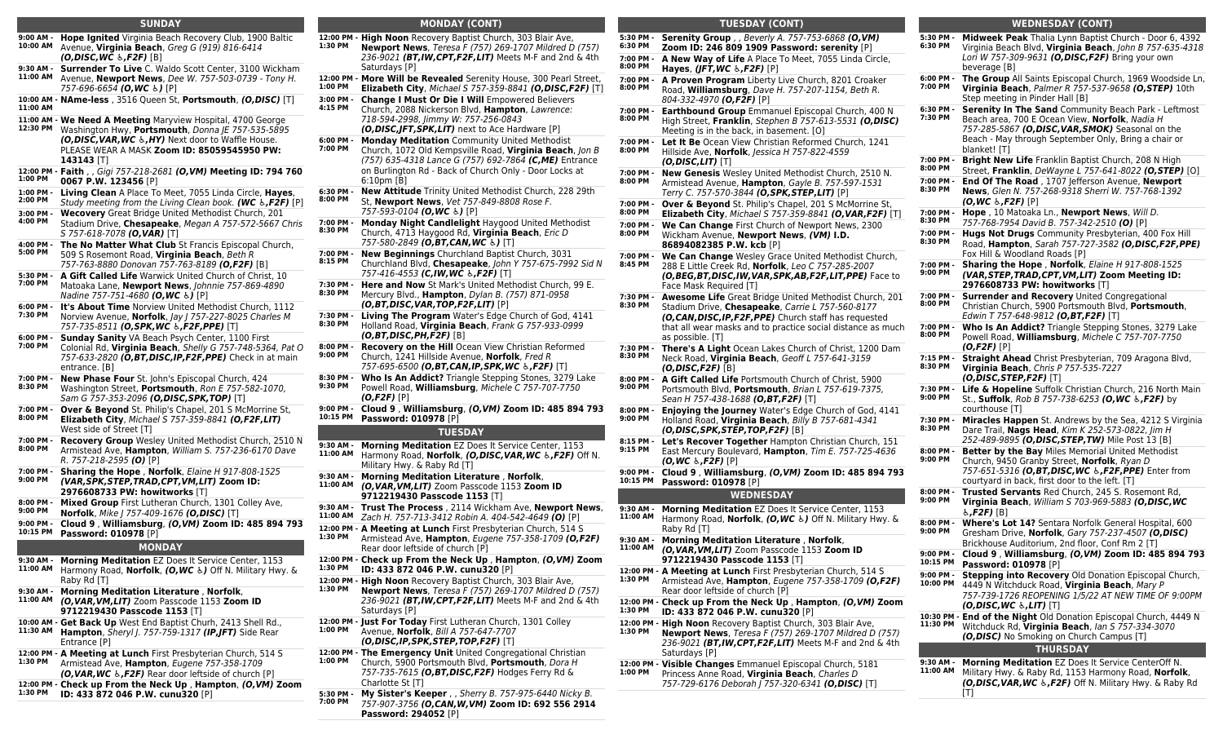### **SUNDAY**

- **9:00 AM - Hope Ignited** Virginia Beach Recovery Club, 1900 Baltic **10:00 AM** Avenue, **Virginia Beach**, Greg G (919) 816-6414 *(O,DISC,WC ♿,F2F)* [B] **9:30 AM - Surrender To Live** C. Waldo Scott Center, 3100 Wickham **11:00 AM** Avenue, **Newport News**, Dee W. 757-503-0739 - Tony H. 757-696-6654 *(O,WC ♿)* [P]
- **10:00 AM - NAme-less** , 3516 Queen St, **Portsmouth**, *(O,DISC)* [T] **11:00 AM**
- **11:00 AM - We Need A Meeting** Maryview Hospital, 4700 George **12:30 PM** Washington Hwy, **Portsmouth**, Donna JE 757-535-5895 *(O,DISC,VAR,WC ♿,HY)* Next door to Waffle House. PLEASE WEAR A MASK **Zoom ID: 85059545950 PW: 143143** [T]
- **12:00 PM - Faith** , , Gigi 757-218-2681 *(O,VM)* **Meeting ID: 794 760 1:00 PM 0067 P.W. 123456** [P]
- **1:00 PM - Living Clean** A Place To Meet, 7055 Linda Circle, **Hayes**,
- **2:00 PM** Study meeting from the Living Clean book. *(WC ♿,F2F)* [P]
- **3:00 PM - Wecovery** Great Bridge United Methodist Church, 201
- **4:00 PM** Stadium Drive, **Chesapeake**, Megan A 757-572-5667 Chris S 757-618-7078 *(O,VAR)* [T]
- **4:00 PM - The No Matter What Club** St Francis Episcopal Church, **5:00 PM** 509 S Rosemont Road, **Virginia Beach**, Beth R 757-763-8880 Donovan 757-763-8189 *(O,F2F)* [B]
- **5:30 PM - A Gift Called Life** Warwick United Church of Christ, 10 **7:00 PM** Matoaka Lane, **Newport News**, Johnnie 757-869-4890 Nadine 757-751-4680 *(O,WC ♿)* [P]
- **6:00 PM - It's About Time** Norview United Methodist Church, 1112 **7:30 PM** Norview Avenue, **Norfolk**, Jay J 757-227-8025 Charles M
- 757-735-8511 *(O,SPK,WC ♿,F2F,PPE)* [T] **6:00 PM - Sunday Sanity** VA Beach Psych Center, 1100 First
- **7:00 PM** Colonial Rd, **Virginia Beach**, Shelly G 757-748-5364, Pat O 757-633-2820 *(O,BT,DISC,IP,F2F,PPE)* Check in at main entrance. [B]
- **7:00 PM - New Phase Four** St. John's Episcopal Church, 424 **8:30 PM** Washington Street, **Portsmouth**, Ron E 757-582-1070, Sam G 757-353-2096 *(O,DISC,SPK,TOP)* [T]
- **7:00 PM - Over & Beyond** St. Philip's Chapel, 201 S McMorrine St, **8:00 PM Elizabeth City**, Michael S 757-359-8841 *(O,F2F,LIT)* West side of Street [T]
- **7:00 PM - Recovery Group** Wesley United Methodist Church, 2510 N **8:00 PM** Armistead Ave, **Hampton**, William S. 757-236-6170 Dave R. 757-218-2595 *(O)* [P]
- **7:00 PM - Sharing the Hope** , **Norfolk**, Elaine H 917-808-1525 **9:00 PM** *(VAR,SPK,STEP,TRAD,CPT,VM,LIT)* **Zoom ID: 2976608733 PW: howitworks** [T]
- **8:00 PM - 9:00 PM Mixed Group** First Lutheran Church, 1301 Colley Ave, **Norfolk**, Mike J 757-409-1676 *(O,DISC)* [T]
- **9:00 PM - 10:15 PM Cloud 9** , **Williamsburg**, *(O,VM)* **Zoom ID: 485 894 793 Password: 010978** [P]
- **MONDAY**
	-
- **9:30 AM - Morning Meditation** EZ Does It Service Center, 1153 **11:00 AM** Harmony Road, **Norfolk**, *(O,WC ♿)* Off N. Military Hwy. & Raby Rd [T]
- **9:30 AM - Morning Meditation Literature** , **Norfolk**, **11:00 AM** *(O,VAR,VM,LIT)* Zoom Passcode 1153 **Zoom ID 9712219430 Passcode 1153** [T]
- **10:00 AM - Get Back Up** West End Baptist Churh, 2413 Shell Rd., **11:30 AM Hampton**, Sheryl J. 757-759-1317 *(IP,JFT)* Side Rear Entrance [P]
- **12:00 PM - A Meeting at Lunch** First Presbyterian Church, 514 S **1:30 PM** Armistead Ave, **Hampton**, Eugene 757-358-1709 *(O,VAR,WC ♿,F2F)* Rear door leftside of church [P]
- **12:00 PM - Check up From the Neck Up** , **Hampton**, *(O,VM)* **Zoom**
- **1:30 PM ID: 433 872 046 P.W. cunu320** [P]

## **MONDAY (CONT)**

- **12:00 PM - High Noon** Recovery Baptist Church, 303 Blair Ave, **1:30 PM Newport News**, Teresa F (757) 269-1707 Mildred D (757) 236-9021 *(BT,IW,CPT,F2F,LIT)* Meets M-F and 2nd & 4th Saturdays [P]
- **12:00 PM - More Will be Revealed** Serenity House, 300 Pearl Street, **1:00 PM Elizabeth City**, Michael S 757-359-8841 *(O,DISC,F2F)* [T]
- **3:00 PM - 4:15 PM Change I Must Or Die I Will** Empowered Believers Church, 2088 Nickerson Blvd, **Hampton**, Lawrence: 718-594-2998, Jimmy W: 757-256-0843
- *(O,DISC,JFT,SPK,LIT)* next to Ace Hardware [P] **6:00 PM -**
- **7:00 PM Monday Meditation** Community United Methodist Church, 1072 Old Kempsville Road, **Virginia Beach**, Jon B (757) 635-4318 Lance G (757) 692-7864 *(C,ME)* Entrance on Burlington Rd - Back of Church Only - Door Locks at 6:10pm [B]
- **6:30 PM - 8:00 PM New Attitude** Trinity United Methodist Church, 228 29th St, **Newport News**, Vet 757-849-8808 Rose F. 757-593-0104 *(O,WC ♿)* [P]
- **7:00 PM - 8:30 PM Monday Night Candlelight** Haygood United Methodist Church, 4713 Haygood Rd, **Virginia Beach**, Eric D
- 757-580-2849 *(O,BT,CAN,WC ♿)* [T] **7:00 PM - New Beginnings** Churchland Baptist Church, 3031 **8:15 PM** Churchland Blvd, **Chesapeake**, John Y 757-675-7992 Sid N
- 757-416-4553 *(C,IW,WC ♿,F2F)* [T] **7:30 PM - 8:30 PM Here and Now** St Mark's United Methodist Church, 99 E. Mercury Blvd., **Hampton**, Dylan B. (757) 871-0958
- *(O,BT,DISC,VAR,TOP,F2F,LIT)* [P] **7:30 PM - 8:30 PM Living The Program** Water's Edge Church of God, 4141 Holland Road, **Virginia Beach**, Frank G 757-933-0999 *(O,BT,DISC,PH,F2F)* [B]
- **8:00 PM - 9:00 PM Recovery on the Hill** Ocean View Christian Reformed Church, 1241 Hillside Avenue, **Norfolk**, Fred R
- 757-695-6500 *(O,BT,CAN,IP,SPK,WC ♿,F2F)* [T] **8:30 PM - Who Is An Addict?** Triangle Stepping Stones, 3279 Lake
- **9:30 PM** Powell Road, **Williamsburg**, Michele C 757-707-7750 *(O,F2F)* [P]
- **9:00 PM - 10:15 PM Cloud 9** , **Williamsburg**, *(O,VM)* **Zoom ID: 485 894 793 Password: 010978** [P]

# **TUESDAY**

- **9:30 AM - Morning Meditation** EZ Does It Service Center, 1153 **11:00 AM** Harmony Road, **Norfolk**, *(O,DISC,VAR,WC ♿,F2F)* Off N. Military Hwy. & Raby Rd [T]
- **9:30 AM - Morning Meditation Literature** , **Norfolk**, **11:00 AM** *(O,VAR,VM,LIT)* Zoom Passcode 1153 **Zoom ID 9712219430 Passcode 1153** [T]
- **9:30 AM - Trust The Process** , 2114 Wickham Ave, **Newport News**, **11:00 AM** Zach H. 757-713-3412 Robin A. 404-542-4649 *(O)* [P]
- **12:00 PM - A Meeting at Lunch** First Presbyterian Church, 514 S **1:30 PM** Armistead Ave, **Hampton**, Eugene 757-358-1709 *(O,F2F)* Rear door leftside of church [P]
- **12:00 PM - Check up From the Neck Up** , **Hampton**, *(O,VM)* **Zoom 1:30 PM**
- **ID: 433 872 046 P.W. cunu320** [P] **12:00 PM - High Noon** Recovery Baptist Church, 303 Blair Ave, **1:30 PM**
	- **Newport News**, Teresa F (757) 269-1707 Mildred D (757) 236-9021 *(BT,IW,CPT,F2F,LIT)* Meets M-F and 2nd & 4th Saturdays [P]
- **12:00 PM - Just For Today** First Lutheran Church, 1301 Colley **1:00 PM** Avenue, **Norfolk**, Bill A 757-647-7707 *(O,DISC,IP,SPK,STEP,TOP,F2F)* [T]
- **12:00 PM - The Emergency Unit** United Congregational Christian **1:00 PM** Church, 5900 Portsmouth Blvd, **Portsmouth**, Dora H 757-735-7615 *(O,BT,DISC,F2F)* Hodges Ferry Rd & Charlotte St [T]
- **5:30 PM - 7:00 PM My Sister's Keeper** , , Sherry B. 757-975-6440 Nicky B. 757-907-3756 *(O,CAN,W,VM)* **Zoom ID: 692 556 2914 Password: 294052** [P]

| <b>TUESDAY (CONT)</b> |                                                                                                                                                                                                                                                                 |  |  |  |
|-----------------------|-----------------------------------------------------------------------------------------------------------------------------------------------------------------------------------------------------------------------------------------------------------------|--|--|--|
| 5:30 PM -<br>6:30 PM  | <b>Serenity Group</b> , , Beverly A. 757-753-6868 (O, VM)<br>Zoom ID: 246 809 1909 Password: serenity [P]                                                                                                                                                       |  |  |  |
| 7:00 PM -<br>8:00 PM  | A New Way of Life A Place To Meet, 7055 Linda Circle,<br>Hayes, (JFT, WC &, F2F) [P]                                                                                                                                                                            |  |  |  |
| 7:00 PM -<br>8:00 PM  | A Proven Program Liberty Live Church, 8201 Croaker<br>Road, Williamsburg, Dave H. 757-207-1154, Beth R.<br>804-332-4970 (O,F2F) [P]                                                                                                                             |  |  |  |
| 7:00 PM -<br>8:00 PM  | Earthbound Group Emmanuel Episcopal Church, 400 N<br>High Street, Franklin, Stephen B 757-613-5531 (O,DISC)<br>Meeting is in the back, in basement. [O]                                                                                                         |  |  |  |
| 7:00 PM -<br>8:00 PM  | Let It Be Ocean View Christian Reformed Church, 1241<br>Hillside Ave. Norfolk. Jessica H 757-822-4559<br>$(O, DISC, LIT)$ [T]                                                                                                                                   |  |  |  |
| 7:00 PM -<br>8:00 PM  | <b>New Genesis</b> Wesley United Methodist Church, 2510 N.<br>Armistead Avenue, Hampton, Gayle B. 757-597-1531<br>Terry C. 757-570-3844 (O, SPK, STEP, LIT) [P]                                                                                                 |  |  |  |
| 7:00 PM -<br>8:00 PM  | Over & Beyond St. Philip's Chapel, 201 S McMorrine St,<br><b>Elizabeth City, Michael S 757-359-8841 (O, VAR, F2F)</b> [T]                                                                                                                                       |  |  |  |
| 7:00 PM -<br>8:00 PM  | <b>We Can Change First Church of Newport News, 2300</b><br>Wickham Avenue, Newport News, (VM) I.D.<br>86894082385 P.W. kcb [P]                                                                                                                                  |  |  |  |
| 7:00 PM -<br>8:45 PM  | We Can Change Wesley Grace United Methodist Church,<br>288 E Little Creek Rd, Norfolk, Leo C 757-285-2007<br>(O,BEG,BT,DISC,IW,VAR,SPK,AB,F2F,LIT,PPE) Face to<br>Face Mask Required [T]                                                                        |  |  |  |
| 7:30 PM -<br>8:30 PM  | <b>Awesome Life</b> Great Bridge United Methodist Church, 201<br>Stadium Drive, Chesapeake, Carrie L 757-560-8177<br>(O, CAN, DISC, IP, F2F, PPE) Church staff has requested<br>that all wear masks and to practice social distance as much<br>as possible. [T] |  |  |  |
| 7:30 PM -<br>8:30 PM  | <b>There's A Light</b> Ocean Lakes Church of Christ, 1200 Dam<br>Neck Road, Virginia Beach, Geoff L 757-641-3159<br>( <b>O,DISC,F2F</b> ) [B]                                                                                                                   |  |  |  |
| 8:00 PM -<br>9:00 PM  | A Gift Called Life Portsmouth Church of Christ, 5900<br>Portsmouth Blvd, Portsmouth, Brian L 757-619-7375,<br>Sean H 757-438-1688 <b>(O,BT,F2F)</b> [T]                                                                                                         |  |  |  |
| 8:00 PM -<br>9:00 PM  | <b>Enjoying the Journey</b> Water's Edge Church of God, 4141<br>Holland Road, Virginia Beach, Billy B 757-681-4341<br>( <b>O,DISC,SPK,STEP,TOP,F2F</b> ) [B]                                                                                                    |  |  |  |
| 8:15 PM -<br>9:15 PM  | Let's Recover Together Hampton Christian Church, 151<br>East Mercury Boulevard, Hampton, Tim E. 757-725-4636<br><i>(O,WC &amp;,F2F)</i> [P]                                                                                                                     |  |  |  |
| 9:00 PM -<br>10:15 PM | Cloud 9, Williamsburg, (O,VM) Zoom ID: 485 894 793<br><b>Password: 010978 [P]</b>                                                                                                                                                                               |  |  |  |
|                       | <b>WEDNESDAY</b>                                                                                                                                                                                                                                                |  |  |  |
| 9:30 AM -<br>11:00 AM | Morning Meditation EZ Does It Service Center, 1153<br>Harmony Road, <b>Norfolk, (O,WC</b> &) Off N. Military Hwy. &<br>Raby Rd [T]                                                                                                                              |  |  |  |
| 9:30 AM -<br>11:00 AM | <b>Morning Meditation Literature, Norfolk,</b><br>(O, VAR, VM, LIT) Zoom Passcode 1153 Zoom ID<br>9712219430 Passcode 1153 [T]                                                                                                                                  |  |  |  |
| 1:30 PM               | 12:00 PM - A Meeting at Lunch First Presbyterian Church, 514 S<br>Armistead Ave, Hampton, Eugene 757-358-1709 (O,F2F)<br>Rear door leftside of church [P]                                                                                                       |  |  |  |
| 1:30 PM               | 12:00 PM - Check up From the Neck Up, Hampton, (O,VM) Zoom<br>ID: 433 872 046 P.W. cunu320 [P]                                                                                                                                                                  |  |  |  |
| 1:30 PM               | 12:00 PM - High Noon Recovery Baptist Church, 303 Blair Ave,<br>Newport News, Teresa F (757) 269-1707 Mildred D (757)<br>236-9021 (BT,IW,CPT,F2F,LIT) Meets M-F and 2nd & 4th<br>Saturdays [P]                                                                  |  |  |  |
| 1:00 PM               | 12:00 PM - Visible Changes Emmanuel Episcopal Church, 5181<br>Princess Anne Road, Virginia Beach, Charles D<br>757-729-6176 Deborah   757-320-6341 (O,DISC) [T]                                                                                                 |  |  |  |
|                       |                                                                                                                                                                                                                                                                 |  |  |  |

| <b>WEDNESDAY (CONT)</b> |                                                                                                                                                                                                                                           |  |  |  |
|-------------------------|-------------------------------------------------------------------------------------------------------------------------------------------------------------------------------------------------------------------------------------------|--|--|--|
| 5:30 PM -<br>6:30 PM    | Midweek Peak Thalia Lynn Baptist Church - Door 6, 4392<br>Virginia Beach Blvd, Virginia Beach, John B 757-635-4318<br>Lori W 757-309-9631 (O, DISC, F2F) Bring your own<br>beverage [B]                                                   |  |  |  |
| 6:00 PM -<br>7:00 PM    | <b>The Group</b> All Saints Episcopal Church, 1969 Woodside Ln,<br>Virginia Beach, Palmer R 757-537-9658 (O, STEP) 10th<br>Step meeting in Pinder Hall [B]                                                                                |  |  |  |
| 6:30 PM -<br>7:30 PM    | <b>Serenity In The Sand Community Beach Park - Leftmost</b><br>Beach area, 700 E Ocean View, Norfolk, Nadia H<br>757-285-5867 (O,DISC, VAR, SMOK) Seasonal on the<br>Beach - May through September Only, Bring a chair or<br>blanket! [T] |  |  |  |
| 7:00 PM -<br>8:00 PM    | <b>Bright New Life</b> Franklin Baptist Church, 208 N High<br>Street, Franklin, DeWayne L 757-641-8022 (O,STEP) [O]                                                                                                                       |  |  |  |
| 7:00 PM -<br>8:30 PM    | End Of The Road, 1707 Jefferson Avenue, Newport<br>News, Glen N. 757-268-9318 Sherri W. 757-768-1392<br>$(0,WC, k, F2F)$ [P]                                                                                                              |  |  |  |
| 7:00 PM -<br>8:30 PM    | Hope, 10 Matoaka Ln., Newport News, Will D.<br>757-768-7954 David B. 757-342-2510 <b>(O)</b> [P]                                                                                                                                          |  |  |  |
| 7:00 PM -<br>8:30 PM    | <b>Hugs Not Drugs</b> Community Presbyterian, 400 Fox Hill<br>Road, Hampton, Sarah 757-727-3582 (O,DISC,F2F,PPE)<br>Fox Hill & Woodland Roads [P]                                                                                         |  |  |  |
| 7:00 PM -<br>9:00 PM    | Sharing the Hope, Norfolk, Elaine H 917-808-1525<br>(VAR, STEP, TRAD, CPT, VM, LIT) Zoom Meeting ID:<br>2976608733 PW: howitworks [T]                                                                                                     |  |  |  |
| 7:00 PM -<br>8:00 PM    | Surrender and Recovery United Congregational<br>Christian Church, 5900 Portsmouth Blvd, Portsmouth,<br>Edwin T 757-648-9812 (O,BT,F2F) [T]                                                                                                |  |  |  |
| 7:00 PM -<br>8:00 PM    | Who Is An Addict? Triangle Stepping Stones, 3279 Lake<br>Powell Road, Williamsburg, Michele C 757-707-7750<br><b>(O,F2F)</b> [P]                                                                                                          |  |  |  |
| 7:15 PM -<br>8:30 PM    | Straight Ahead Christ Presbyterian, 709 Aragona Blvd,<br>Virginia Beach, Chris P 757-535-7227<br>$(0, DISC, STEP, F2F)$ [T]                                                                                                               |  |  |  |
| 7:30 PM -<br>9:00 PM    | Life & Hopeline Suffolk Christian Church, 216 North Main<br>St., Suffolk, <i>Rob B 757-738-6253 (O,WC \</i> , <i>F2F)</i> by<br>courthouse [T]                                                                                            |  |  |  |
| 7:30 PM -<br>8:30 PM    | <b>Miracles Happen</b> St. Andrews by the Sea, 4212 S Virginia<br>Dare Trail, Nags Head, Kim K 252-573-0822, Jim H<br>252-489-9895 (O,DISC, STEP, TW) Mile Post 13 [B]                                                                    |  |  |  |
| 8:00 PM -<br>9:00 PM    | <b>Better by the Bay</b> Miles Memorial United Methodist<br>Church, 9450 Granby Street, Norfolk, Ryan D<br>757-651-5316 (O,BT,DISC,WC &,F2F,PPE) Enter from<br>courtyard in back, first door to the left. [T]                             |  |  |  |
| 8:00 PM -<br>9:00 PM    | <b>Trusted Servants</b> Red Church, 245 S. Rosemont Rd,<br>Virginia Beach, William S 703-969-5883 (O,DISC, WC<br>১ <b>,F2F)</b> [B]                                                                                                       |  |  |  |
| 8:00 PM -<br>9:00 PM    | Where's Lot 14? Sentara Norfolk General Hospital, 600<br>Gresham Drive, Norfolk, Gary 757-237-4507 (O,DISC)<br>Brickhouse Auditorium, 2nd floor, Conf Rm 2 [T]                                                                            |  |  |  |
| 9:00 PM -<br>10:15 PM   | Cloud 9, Williamsburg, (O,VM) Zoom ID: 485 894 793<br>ssword: 010978 [P]                                                                                                                                                                  |  |  |  |
| 9:00 PM -<br>10:00 PM   | <b>Stepping into Recovery Old Donation Episcopal Church,</b><br>4449 N Witchduck Road, Virginia Beach, Mary P<br>757-739-1726 REOPENING 1/5/22 AT NEW TIME OF 9:00PM<br>(O,DISC, WC $\&$ ,LIT) [T]                                        |  |  |  |
| 11:30 PM                | 10:30 PM - End of the Night Old Donation Episcopal Church, 4449 N<br>Witchduck Rd, Virginia Beach, Jan S 757-334-3070<br>(O, DISC) No Smoking on Church Campus [T]                                                                        |  |  |  |
|                         | <b>THURSDAY</b>                                                                                                                                                                                                                           |  |  |  |
| 9:30 AM -<br>11:00 AM   | <b>Morning Meditation EZ Does It Service CenterOff N.</b><br>Military Hwy. & Raby Rd, 1153 Harmony Road, Norfolk,<br><b>(O,DISC,VAR,WC &amp;,F2F)</b> Off N. Military Hwy. & Raby Rd<br>[T]                                               |  |  |  |